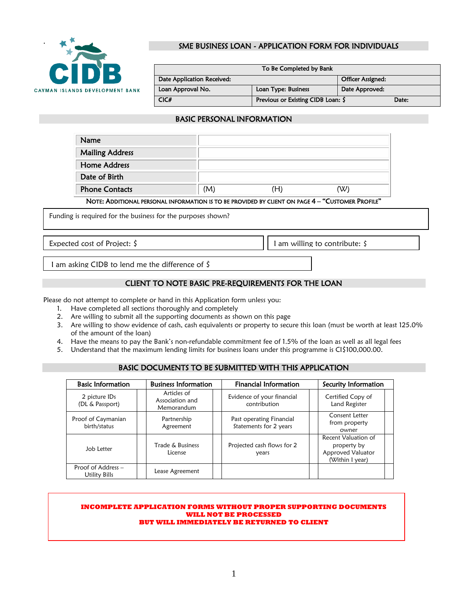

## SME BUSINESS LOAN - APPLICATION FORM FOR INDIVIDUALS

| To Be Completed by Bank    |                                    |                   |       |
|----------------------------|------------------------------------|-------------------|-------|
| Date Application Received: |                                    | Officer Assigned: |       |
| Loan Approval No.          | Loan Type: Business                | Date Approved:    |       |
| CIC#                       | Previous or Existing CIDB Loan: \$ |                   | Date: |

### BASIC PERSONAL INFORMATION

| <b>Name</b>                                                                                      |     |    |    |  |
|--------------------------------------------------------------------------------------------------|-----|----|----|--|
| <b>Mailing Address</b>                                                                           |     |    |    |  |
| <b>Home Address</b>                                                                              |     |    |    |  |
| Date of Birth                                                                                    |     |    |    |  |
| <b>Phone Contacts</b>                                                                            | (M) | H) | (W |  |
| Note: Additional personal information is to be provided by client on page 4 - "Customer Profile" |     |    |    |  |

Funding is required for the business for the purposes shown?

 $\overline{a}$ 

Expected cost of Project: \$ I am willing to contribute: \$

I am asking CIDB to lend me the difference of \$

## CLIENT TO NOTE BASIC PRE-REQUIREMENTS FOR THE LOAN

Please do not attempt to complete or hand in this Application form unless you:

- 1. Have completed all sections thoroughly and completely
- 2. Are willing to submit all the supporting documents as shown on this page
- 3. Are willing to show evidence of cash, cash equivalents or property to secure this loan (must be worth at least 125.0% of the amount of the loan)
- 4. Have the means to pay the Bank's non-refundable commitment fee of 1.5% of the loan as well as all legal fees
- 5. Understand that the maximum lending limits for business loans under this programme is CI\$100,000.00.

## BASIC DOCUMENTS TO BE SUBMITTED WITH THIS APPLICATION

| <b>Basic Information</b>                  | <b>Business Information</b>                  | <b>Financial Information</b>                       | Security Information                                                       |
|-------------------------------------------|----------------------------------------------|----------------------------------------------------|----------------------------------------------------------------------------|
| 2 picture IDs<br>(DL & Passport)          | Articles of<br>Association and<br>Memorandum | Evidence of your financial<br>contribution         | Certified Copy of<br>Land Register                                         |
| Proof of Caymanian<br>birth/status        | Partnership<br>Agreement                     | Past operating Financial<br>Statements for 2 years | Consent Letter<br>from property<br>owner                                   |
| Trade & Business<br>Job Letter<br>License |                                              | Projected cash flows for 2<br>years                | Recent Valuation of<br>property by<br>Approved Valuator<br>(Within I year) |
| Proof of Address -<br>Utility Bills       | Lease Agreement                              |                                                    |                                                                            |

#### **INCOMPLETE APPLICATION FORMS WITHOUT PROPER SUPPORTING DOCUMENTS WILL NOT BE PROCESSED BUT WILL IMMEDIATELY BE RETURNED TO CLIENT**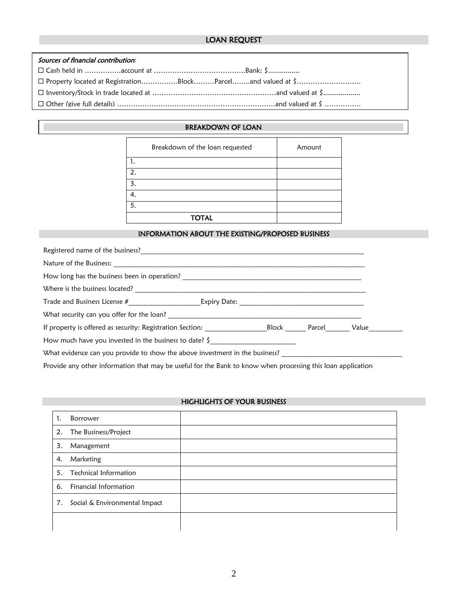## LOAN REQUEST

#### Sources of financial contribution:

- Cash held in …………….account at ………………………………….Bank: \$................
- Property located at Registration…………….Block………Parcel……..and valued at \$……………………….
- Inventory/Stock in trade located at ………………………………………………and valued at \$...................
- Other (give full details) ……………………………………………………………and valued at \$ …………….

#### BREAKDOWN OF LOAN

| Breakdown of the loan requested | Amount |
|---------------------------------|--------|
|                                 |        |
|                                 |        |
|                                 |        |
|                                 |        |
|                                 |        |
| <b>TOTAL</b>                    |        |
|                                 |        |

#### INFORMATION ABOUT THE EXISTING/PROPOSED BUSINESS

| Where is the business located?                                              |  |  |       |  |
|-----------------------------------------------------------------------------|--|--|-------|--|
|                                                                             |  |  |       |  |
| What security can you offer for the loan?                                   |  |  |       |  |
| If property is offered as security: Registration Section: Block Parcel      |  |  | Value |  |
| How much have you invested in the business to date? $\zeta$                 |  |  |       |  |
| What evidence can you provide to show the above investment in the business? |  |  |       |  |
|                                                                             |  |  |       |  |

Provide any other information that may be useful for the Bank to know when processing this loan application

## HIGHLIGHTS OF YOUR BUSINESS

|    | Borrower                      |  |
|----|-------------------------------|--|
|    | 2. The Business/Project       |  |
| 3. | Management                    |  |
| 4. | Marketing                     |  |
|    | 5. Technical Information      |  |
|    | 6. Financial Information      |  |
| 7. | Social & Environmental Impact |  |
|    |                               |  |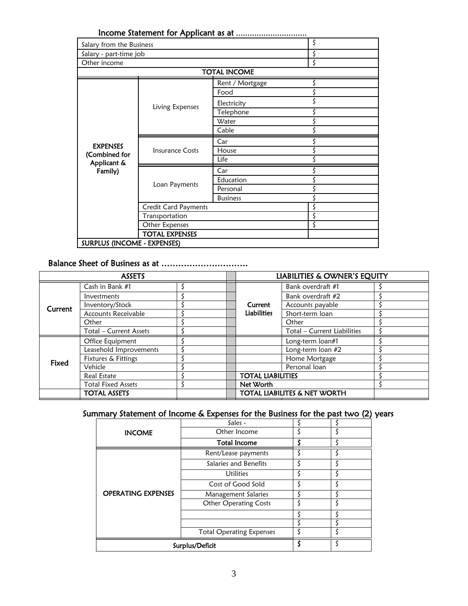| Salary from the Business           |                       |                     | \$ |  |
|------------------------------------|-----------------------|---------------------|----|--|
| Salary - part-time job             |                       |                     | \$ |  |
| Other income                       |                       |                     | Ś  |  |
|                                    |                       | <b>TOTAL INCOME</b> |    |  |
|                                    |                       | Rent / Mortgage     |    |  |
|                                    |                       | Food                |    |  |
|                                    | Living Expenses       | Electricity         |    |  |
|                                    |                       | Telephone           |    |  |
|                                    |                       | Water               |    |  |
|                                    |                       | Cable               |    |  |
| <b>EXPENSES</b>                    | Insurance Costs       | Car                 |    |  |
| (Combined for                      |                       | House               |    |  |
| Applicant &                        |                       | Life                |    |  |
| Family)                            |                       | Car                 |    |  |
|                                    |                       | Education           |    |  |
|                                    | Loan Payments         | Personal            |    |  |
|                                    |                       | <b>Business</b>     |    |  |
|                                    | Credit Card Payments  |                     |    |  |
|                                    | Transportation        |                     |    |  |
|                                    | Other Expenses        |                     |    |  |
|                                    | <b>TOTAL EXPENSES</b> |                     |    |  |
| <b>SURPLUS (INCOME - EXPENSES)</b> |                       |                     |    |  |

# Balance Sheet of Business as at ………………………….

٦

| <b>ASSETS</b> |                           |  |  | LIABILITIES & OWNER'S EQUITY |                             |  |
|---------------|---------------------------|--|--|------------------------------|-----------------------------|--|
|               | Cash in Bank #1           |  |  | Current                      | Bank overdraft #1           |  |
|               | Investments               |  |  |                              | Bank overdraft #2           |  |
| Current       | Inventory/Stock           |  |  |                              | Accounts payable            |  |
|               | Accounts Receivable       |  |  | <b>Liabilities</b>           | Short-term loan             |  |
|               | Other                     |  |  |                              | Other                       |  |
|               | Total - Current Assets    |  |  |                              | Total - Current Liabilities |  |
|               | Office Equipment          |  |  |                              | Long-term loan#1            |  |
|               | Leasehold Improvements    |  |  |                              | Long-term loan #2           |  |
| Fixed         | Fixtures & Fittings       |  |  |                              | Home Mortgage               |  |
|               | Vehicle                   |  |  |                              | Personal loan               |  |
|               | <b>Real Estate</b>        |  |  | <b>TOTAL LIABILITIES</b>     |                             |  |
|               | <b>Total Fixed Assets</b> |  |  | Net Worth                    |                             |  |
|               | <b>TOTAL ASSETS</b>       |  |  | TOTAL LIABILITES & NET WORTH |                             |  |
|               |                           |  |  |                              |                             |  |

## Summary Statement of Income & Expenses for the Business for the past two (2) years

|                           | Sales -                         |  |  |
|---------------------------|---------------------------------|--|--|
| <b>INCOME</b>             | Other Income                    |  |  |
|                           | <b>Total Income</b>             |  |  |
|                           | Rent/Lease payments             |  |  |
|                           | Salaries and Benefits           |  |  |
|                           | <b>Utilities</b>                |  |  |
|                           | Cost of Good Sold               |  |  |
| <b>OPERATING EXPENSES</b> | Management Salaries             |  |  |
|                           | <b>Other Operating Costs</b>    |  |  |
|                           |                                 |  |  |
|                           |                                 |  |  |
|                           | <b>Total Operating Expenses</b> |  |  |
| Surplus/Deficit           |                                 |  |  |
|                           |                                 |  |  |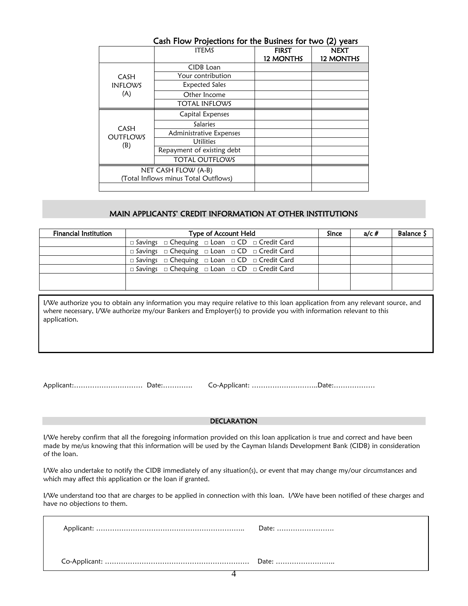| Cash Flow Projections for the Business for two (2) years    |                            |                                  |                                 |  |
|-------------------------------------------------------------|----------------------------|----------------------------------|---------------------------------|--|
|                                                             | <b>ITEMS</b>               | <b>FIRST</b><br><b>12 MONTHS</b> | <b>NEXT</b><br><b>12 MONTHS</b> |  |
|                                                             | CIDB Loan                  |                                  |                                 |  |
| CASH                                                        | Your contribution          |                                  |                                 |  |
| <b>INFLOWS</b>                                              | <b>Expected Sales</b>      |                                  |                                 |  |
| (A)                                                         | Other Income               |                                  |                                 |  |
|                                                             | <b>TOTAL INFLOWS</b>       |                                  |                                 |  |
|                                                             | Capital Expenses           |                                  |                                 |  |
| <b>CASH</b>                                                 | <b>Salaries</b>            |                                  |                                 |  |
| <b>OUTFLOWS</b>                                             | Administrative Expenses    |                                  |                                 |  |
| (B)                                                         | <b>Utilities</b>           |                                  |                                 |  |
|                                                             | Repayment of existing debt |                                  |                                 |  |
|                                                             | <b>TOTAL OUTFLOWS</b>      |                                  |                                 |  |
| NET CASH FLOW (A-B)<br>(Total Inflows minus Total Outflows) |                            |                                  |                                 |  |
|                                                             |                            |                                  |                                 |  |

#### MAIN APPLICANTS' CREDIT INFORMATION AT OTHER INSTITUTIONS

| Type of Account Held                                                    | Since | a/c # | <b>Balance S</b> |
|-------------------------------------------------------------------------|-------|-------|------------------|
| $\Box$ Savings $\Box$ Chequing $\Box$ Loan $\Box$ CD $\Box$ Credit Card |       |       |                  |
| $\Box$ Savings $\Box$ Chequing $\Box$ Loan $\Box$ CD $\Box$ Credit Card |       |       |                  |
| $\Box$ Savings $\Box$ Chequing $\Box$ Loan $\Box$ CD $\Box$ Credit Card |       |       |                  |
| □ Savings □ Chequing □ Loan □ CD □ Credit Card                          |       |       |                  |
|                                                                         |       |       |                  |
|                                                                         |       |       |                  |

I/We authorize you to obtain any information you may require relative to this loan application from any relevant source, and where necessary, I/We authorize my/our Bankers and Employer(s) to provide you with information relevant to this application.

Applicant:………………………… Date:…………. Co-Applicant: ………………………..Date:………………

#### DECLARATION

I/We hereby confirm that all the foregoing information provided on this loan application is true and correct and have been made by me/us knowing that this information will be used by the Cayman Islands Development Bank (CIDB) in consideration of the loan.

I/We also undertake to notify the CIDB immediately of any situation(s), or event that may change my/our circumstances and which may affect this application or the loan if granted.

I/We understand too that are charges to be applied in connection with this loan. I/We have been notified of these charges and have no objections to them.